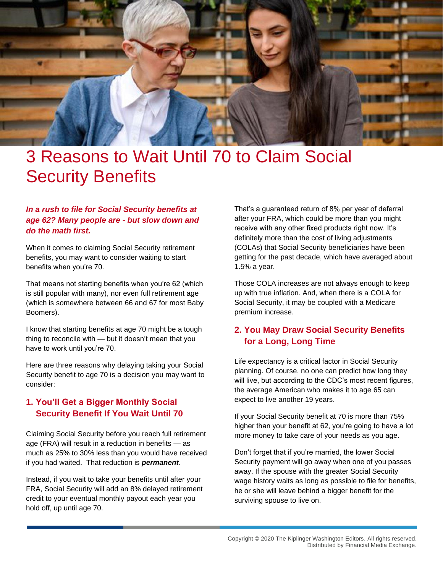

# 3 Reasons to Wait Until 70 to Claim Social Security Benefits

#### *In a rush to file for Social Security benefits at age 62? Many people are - but slow down and do the math first.*

When it comes to claiming Social Security retirement benefits, you may want to consider waiting to start benefits when you're 70.

That means not starting benefits when you're 62 (which is still popular with many), nor even full retirement age (which is somewhere between 66 and 67 for most Baby Boomers).

I know that starting benefits at age 70 might be a tough thing to reconcile with — but it doesn't mean that you have to work until you're 70.

Here are three reasons why delaying taking your Social Security benefit to age 70 is a decision you may want to consider:

#### **1. You'll Get a Bigger Monthly Social Security Benefit If You Wait Until 70**

Claiming Social Security before you reach full retirement age (FRA) will result in a reduction in benefits — as much as 25% to 30% less than you would have received if you had waited. That reduction is *permanent*.

Instead, if you wait to take your benefits until after your FRA, Social Security will add an 8% delayed retirement credit to your eventual monthly payout each year you hold off, up until age 70.

That's a guaranteed return of 8% per year of deferral after your FRA, which could be more than you might receive with any other fixed products right now. It's definitely more than the cost of living adjustments (COLAs) that Social Security beneficiaries have been getting for the past decade, which have averaged about 1.5% a year.

Those COLA increases are not always enough to keep up with true inflation. And, when there is a COLA for Social Security, it may be coupled with a Medicare premium increase.

### **2. You May Draw Social Security Benefits for a Long, Long Time**

Life expectancy is a critical factor in Social Security planning. Of course, no one can predict how long they will live, but according to the CDC's most recent figures, the average American who makes it to age 65 can expect to live another 19 years.

If your Social Security benefit at 70 is more than 75% higher than your benefit at 62, you're going to have a lot more money to take care of your needs as you age.

Don't forget that if you're married, the lower Social Security payment will go away when one of you passes away. If the spouse with the greater Social Security wage history waits as long as possible to file for benefits, he or she will leave behind a bigger benefit for the surviving spouse to live on.